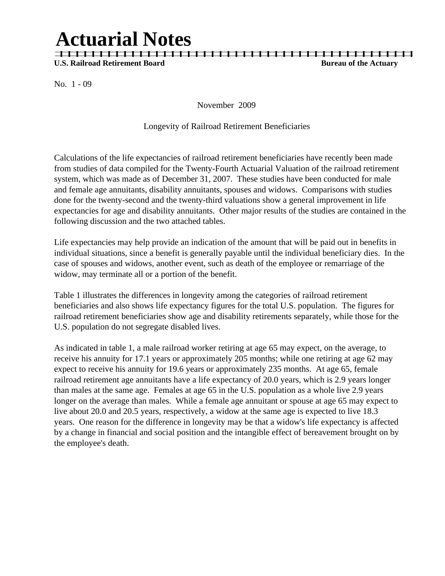# **Actuarial Notes**

**U.S. Railroad Retirement Board Bureau of the Actuary** *Bureau of the Actuary* **<b>Bureau of the Actuary** 

No. 1 - 09

November 2009

| | | | | | | | | | | | | | | | | | | | | | | | | | | | | | | | | | | | | | | | | | | | |

#### Longevity of Railroad Retirement Beneficiaries

Calculations of the life expectancies of railroad retirement beneficiaries have recently been made from studies of data compiled for the Twenty-Fourth Actuarial Valuation of the railroad retirement system, which was made as of December 31, 2007. These studies have been conducted for male and female age annuitants, disability annuitants, spouses and widows. Comparisons with studies done for the twenty-second and the twenty-third valuations show a general improvement in life expectancies for age and disability annuitants. Other major results of the studies are contained in the following discussion and the two attached tables.

Life expectancies may help provide an indication of the amount that will be paid out in benefits in individual situations, since a benefit is generally payable until the individual beneficiary dies. In the case of spouses and widows, another event, such as death of the employee or remarriage of the widow, may terminate all or a portion of the benefit.

Table 1 illustrates the differences in longevity among the categories of railroad retirement beneficiaries and also shows life expectancy figures for the total U.S. population. The figures for railroad retirement beneficiaries show age and disability retirements separately, while those for the U.S. population do not segregate disabled lives.

As indicated in table 1, a male railroad worker retiring at age 65 may expect, on the average, to receive his annuity for 17.1 years or approximately 205 months; while one retiring at age 62 may expect to receive his annuity for 19.6 years or approximately 235 months. At age 65, female railroad retirement age annuitants have a life expectancy of 20.0 years, which is 2.9 years longer than males at the same age. Females at age 65 in the U.S. population as a whole live 2.9 years longer on the average than males. While a female age annuitant or spouse at age 65 may expect to live about 20.0 and 20.5 years, respectively, a widow at the same age is expected to live 18.3 years. One reason for the difference in longevity may be that a widow's life expectancy is affected by a change in financial and social position and the intangible effect of bereavement brought on by the employee's death.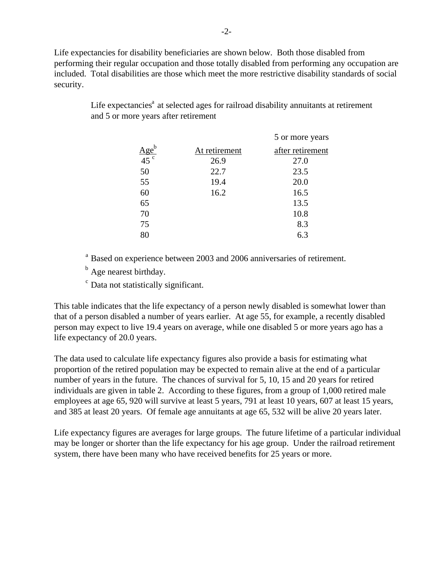Life expectancies for disability beneficiaries are shown below. Both those disabled from performing their regular occupation and those totally disabled from performing any occupation are included. Total disabilities are those which meet the more restrictive disability standards of social security.

|                    |               | 5 or more years  |
|--------------------|---------------|------------------|
| $\frac{Age^b}{45}$ | At retirement | after retirement |
|                    | 26.9          | 27.0             |
| 50                 | 22.7          | 23.5             |
| 55                 | 19.4          | 20.0             |
| 60                 | 16.2          | 16.5             |
| 65                 |               | 13.5             |
| 70                 |               | 10.8             |
| 75                 |               | 8.3              |
| 80                 |               | 6.3              |

Life expectancies $^{\circ}$  at selected ages for railroad disability annuitants at retirement and 5 or more years after retirement

<sup>a</sup> Based on experience between 2003 and 2006 anniversaries of retirement.

 $<sup>b</sup>$  Age nearest birthday.</sup>

c Data not statistically significant.

This table indicates that the life expectancy of a person newly disabled is somewhat lower than that of a person disabled a number of years earlier. At age 55, for example, a recently disabled person may expect to live 19.4 years on average, while one disabled 5 or more years ago has a life expectancy of 20.0 years.

The data used to calculate life expectancy figures also provide a basis for estimating what proportion of the retired population may be expected to remain alive at the end of a particular number of years in the future. The chances of survival for 5, 10, 15 and 20 years for retired individuals are given in table 2. According to these figures, from a group of 1,000 retired male employees at age 65, 920 will survive at least 5 years, 791 at least 10 years, 607 at least 15 years, and 385 at least 20 years. Of female age annuitants at age 65, 532 will be alive 20 years later.

Life expectancy figures are averages for large groups. The future lifetime of a particular individual may be longer or shorter than the life expectancy for his age group. Under the railroad retirement system, there have been many who have received benefits for 25 years or more.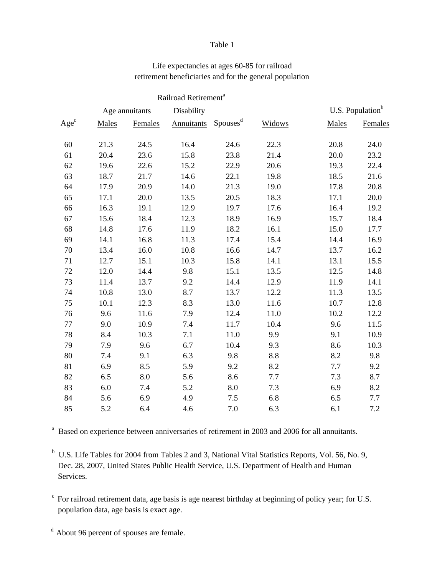#### Table 1

### Life expectancies at ages 60-85 for railroad retirement beneficiaries and for the general population

|         |                |         | Railroad Retirement <sup>a</sup> |                      |        |       |                              |  |
|---------|----------------|---------|----------------------------------|----------------------|--------|-------|------------------------------|--|
|         | Age annuitants |         | Disability                       |                      |        |       | U.S. Population <sup>b</sup> |  |
| $Age^c$ | Males          | Females | Annuitants                       | Spouses <sup>d</sup> | Widows | Males | Females                      |  |
| 60      | 21.3           | 24.5    | 16.4                             | 24.6                 | 22.3   | 20.8  | 24.0                         |  |
| 61      | 20.4           | 23.6    | 15.8                             | 23.8                 | 21.4   | 20.0  | 23.2                         |  |
| 62      | 19.6           | 22.6    | 15.2                             | 22.9                 | 20.6   | 19.3  | 22.4                         |  |
| 63      | 18.7           | 21.7    | 14.6                             | 22.1                 | 19.8   | 18.5  | 21.6                         |  |
| 64      | 17.9           | 20.9    | 14.0                             | 21.3                 | 19.0   | 17.8  | 20.8                         |  |
| 65      | 17.1           | 20.0    | 13.5                             | 20.5                 | 18.3   | 17.1  | 20.0                         |  |
| 66      | 16.3           | 19.1    | 12.9                             | 19.7                 | 17.6   | 16.4  | 19.2                         |  |
| 67      | 15.6           | 18.4    | 12.3                             | 18.9                 | 16.9   | 15.7  | 18.4                         |  |
| 68      | 14.8           | 17.6    | 11.9                             | 18.2                 | 16.1   | 15.0  | 17.7                         |  |
| 69      | 14.1           | 16.8    | 11.3                             | 17.4                 | 15.4   | 14.4  | 16.9                         |  |
| 70      | 13.4           | 16.0    | 10.8                             | 16.6                 | 14.7   | 13.7  | 16.2                         |  |
| 71      | 12.7           | 15.1    | 10.3                             | 15.8                 | 14.1   | 13.1  | 15.5                         |  |
| 72      | 12.0           | 14.4    | 9.8                              | 15.1                 | 13.5   | 12.5  | 14.8                         |  |
| 73      | 11.4           | 13.7    | 9.2                              | 14.4                 | 12.9   | 11.9  | 14.1                         |  |
| 74      | 10.8           | 13.0    | 8.7                              | 13.7                 | 12.2   | 11.3  | 13.5                         |  |
| 75      | 10.1           | 12.3    | 8.3                              | 13.0                 | 11.6   | 10.7  | 12.8                         |  |
| 76      | 9.6            | 11.6    | 7.9                              | 12.4                 | 11.0   | 10.2  | 12.2                         |  |
| 77      | 9.0            | 10.9    | 7.4                              | 11.7                 | 10.4   | 9.6   | 11.5                         |  |
| 78      | 8.4            | 10.3    | 7.1                              | 11.0                 | 9.9    | 9.1   | 10.9                         |  |
| 79      | 7.9            | 9.6     | 6.7                              | 10.4                 | 9.3    | 8.6   | 10.3                         |  |
| 80      | 7.4            | 9.1     | 6.3                              | 9.8                  | 8.8    | 8.2   | 9.8                          |  |
| 81      | 6.9            | 8.5     | 5.9                              | 9.2                  | 8.2    | 7.7   | 9.2                          |  |
| 82      | 6.5            | 8.0     | 5.6                              | 8.6                  | 7.7    | 7.3   | 8.7                          |  |
| 83      | 6.0            | 7.4     | 5.2                              | 8.0                  | 7.3    | 6.9   | 8.2                          |  |
| 84      | 5.6            | 6.9     | 4.9                              | 7.5                  | 6.8    | 6.5   | 7.7                          |  |
| 85      | 5.2            | 6.4     | 4.6                              | 7.0                  | 6.3    | 6.1   | 7.2                          |  |

<sup>a</sup> Based on experience between anniversaries of retirement in 2003 and 2006 for all annuitants.

<sup>b</sup> U.S. Life Tables for 2004 from Tables 2 and 3, National Vital Statistics Reports, Vol. 56, No. 9, Dec. 28, 2007, United States Public Health Service, U.S. Department of Health and Human Services.

 $\epsilon$  For railroad retirement data, age basis is age nearest birthday at beginning of policy year; for U.S. population data, age basis is exact age.

d About 96 percent of spouses are female.